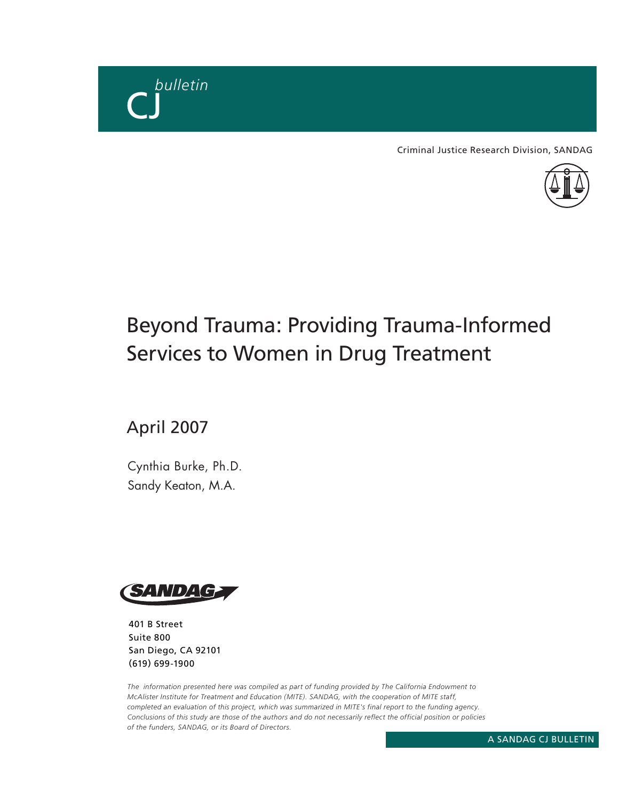

Criminal Justice Research Division, SANDAG



# Beyond Trauma: Providing Trauma-Informed Services to Women in Drug Treatment

April 2007

Cynthia Burke, Ph.D. Sandy Keaton, M.A.



401 B Street Suite 800 San Diego, CA 92101 (619) 699-1900

*The information presented here was compiled as part of funding provided by The California Endowment to McAlister Institute for Treatment and Education (MITE). SANDAG, with the cooperation of MITE staff, completed an evaluation of this project, which was summarized in MITE's final report to the funding agency. Conclusions of this study are those of the authors and do not necessarily reflect the official position or policies of the funders, SANDAG, or its Board of Directors.*

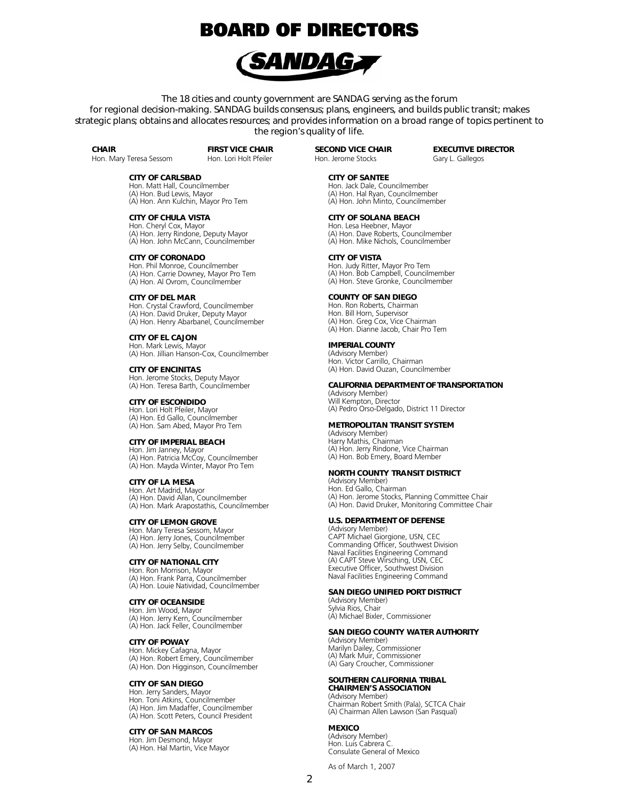## **BOARD OF DIRECTORS**



The 18 cities and county government are SANDAG serving as the forum for regional decision-making. SANDAG builds consensus; plans, engineers, and builds public transit; makes strategic plans; obtains and allocates resources; and provides information on a broad range of topics pertinent to the region's quality of life.

**CHAIR** 

Hon. Mary Teresa Sessom

FIRST VICE CHAIR Hon. Lori Holt Pfeiler

### CITY OF CARLSBAD

Hon. Matt Hall, Councilmember (A) Hon. Bud Lewis, Mayor (A) Hon. Ann Kulchin, Mayor Pro Tem

CITY OF CHULA VISTA Hon. Cheryl Cox, Mayor (A) Hon. Jerry Rindone, Deputy Mayor (A) Hon. John McCann, Councilmember

CITY OF CORONADO Hon. Phil Monroe, Councilmember (A) Hon. Carrie Downey, Mayor Pro Tem (A) Hon. Al Ovrom, Councilmember

CITY OF DEL MAR Hon. Crystal Crawford, Councilmember (A) Hon. David Druker, Deputy Mayor (A) Hon. Henry Abarbanel, Councilmember

CITY OF EL CAJON Hon. Mark Lewis, Mayor (A) Hon. Jillian Hanson-Cox, Councilmember

CITY OF ENCINITAS Hon. Jerome Stocks, Deputy Mayor (A) Hon. Teresa Barth, Councilmember

CITY OF ESCONDIDO Hon. Lori Holt Pfeiler, Mayor (A) Hon. Ed Gallo, Councilmember (A) Hon. Sam Abed, Mayor Pro Tem

### CITY OF IMPERIAL BEACH

Hon. Jim Janney, Mayor (A) Hon. Patricia McCoy, Councilmember (A) Hon. Mayda Winter, Mayor Pro Tem

CITY OF LA MESA Hon. Art Madrid, Mayor (A) Hon. David Allan, Councilmember (A) Hon. Mark Arapostathis, Councilmember

CITY OF LEMON GROVE Hon. Mary Teresa Sessom, Mayor (A) Hon. Jerry Jones, Councilmember (A) Hon. Jerry Selby, Councilmember

CITY OF NATIONAL CITY Hon. Ron Morrison, Mayor (A) Hon. Frank Parra, Councilmember (A) Hon. Louie Natividad, Councilmember

### CITY OF OCEANSIDE

Hon. Jim Wood, Mayor (A) Hon. Jerry Kern, Councilmember (A) Hon. Jack Feller, Councilmember

### CITY OF POWAY

Hon. Mickey Cafagna, Mayor (A) Hon. Robert Emery, Councilmember (A) Hon. Don Higginson, Councilmember

### CITY OF SAN DIEGO

Hon. Jerry Sanders, Mayor Hon. Toni Atkins, Councilmember (A) Hon. Jim Madaffer, Councilmember (A) Hon. Scott Peters, Council President

### CITY OF SAN MARCOS

Hon. Jim Desmond, Mayor (A) Hon. Hal Martin, Vice Mayor

SECOND VICE CHAIR Hon. Jerome Stocks

EXECUTIVE DIRECTOR Gary L. Gallegos

CITY OF SANTEE

Hon. Jack Dale, Councilmember (A) Hon. Hal Ryan, Councilmember (A) Hon. John Minto, Councilmember

### CITY OF SOLANA BEACH

Hon. Lesa Heebner, Mayor (A) Hon. Dave Roberts, Councilmember (A) Hon. Mike Nichols, Councilmember

### CITY OF VISTA

Hon. Judy Ritter, Mayor Pro Tem (A) Hon. Bob Campbell, Councilmember (A) Hon. Steve Gronke, Councilmember

### COUNTY OF SAN DIEGO

Hon. Ron Roberts, Chairman Hon. Bill Horn, Supervisor (A) Hon. Greg Cox, Vice Chairman (A) Hon. Dianne Jacob, Chair Pro Tem

### IMPERIAL COUNTY

(Advisory Member) Hon. Victor Carrillo, Chairman (A) Hon. David Ouzan, Councilmember

#### CALIFORNIA DEPARTMENT OF TRANSPORTATION

(Advisory Member) Will Kempton, Director (A) Pedro Orso-Delgado, District 11 Director

#### METROPOLITAN TRANSIT SYSTEM

(Advisory Member) Harry Mathis, Chairman (A) Hon. Jerry Rindone, Vice Chairman (A) Hon. Bob Emery, Board Member

### NORTH COUNTY TRANSIT DISTRICT

(Advisory Member) Hon. Ed Gallo, Chairman (A) Hon. Jerome Stocks, Planning Committee Chair (A) Hon. David Druker, Monitoring Committee Chair

### U.S. DEPARTMENT OF DEFENSE

(Advisory Member) CAPT Michael Giorgione, USN, CEC Commanding Officer, Southwest Division Naval Facilities Engineering Command (A) CAPT Steve Wirsching, USN, CEC Executive Officer, Southwest Division Naval Facilities Engineering Command

### SAN DIEGO UNIFIED PORT DISTRICT

(Advisory Member) Sylvia Rios, Chair (A) Michael Bixler, Commissioner

### SAN DIEGO COUNTY WATER AUTHORITY

(Advisory Member) Marilyn Dailey, Commissioner (A) Mark Muir, Commissioner (A) Gary Croucher, Commissioner

### SOUTHERN CALIFORNIA TRIBAL CHAIRMEN'S ASSOCIATION

(Advisory Member) Chairman Robert Smith (Pala), SCTCA Chair (A) Chairman Allen Lawson (San Pasqual)

### MEXICO

(Advisory Member) Hon. Luis Cabrera C. Consulate General of Mexico

As of March 1, 2007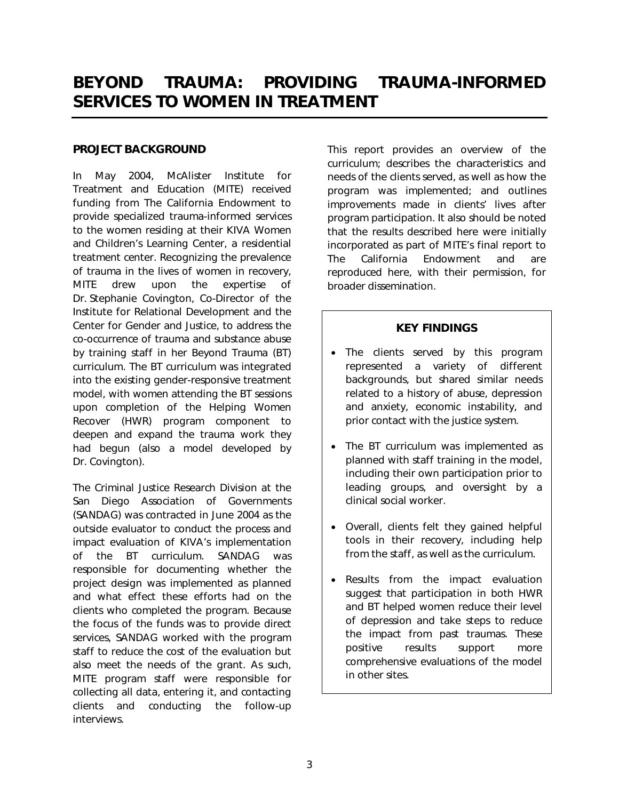## BEYOND TRAUMA: PROVIDING TRAUMA-INFORMED SERVICES TO WOMEN IN TREATMENT

## PROJECT BACKGROUND

In May 2004, McAlister Institute for Treatment and Education (MITE) received funding from The California Endowment to provide specialized trauma-informed services to the women residing at their KIVA Women and Children's Learning Center, a residential treatment center. Recognizing the prevalence of trauma in the lives of women in recovery, MITE drew upon the expertise of Dr. Stephanie Covington, Co-Director of the Institute for Relational Development and the Center for Gender and Justice, to address the co-occurrence of trauma and substance abuse by training staff in her *Beyond Trauma* (*BT*) curriculum. The *BT* curriculum was integrated into the existing gender-responsive treatment model, with women attending the *BT* sessions upon completion of the *Helping Women Recover* (*HWR*) program component to deepen and expand the trauma work they had begun (also a model developed by Dr. Covington).

The Criminal Justice Research Division at the San Diego Association of Governments (SANDAG) was contracted in June 2004 as the outside evaluator to conduct the process and impact evaluation of KIVA's implementation of the *BT* curriculum. SANDAG was responsible for documenting whether the project design was implemented as planned and what effect these efforts had on the clients who completed the program. Because the focus of the funds was to provide direct services, SANDAG worked with the program staff to reduce the cost of the evaluation but also meet the needs of the grant. As such, MITE program staff were responsible for collecting all data, entering it, and contacting clients and conducting the follow-up interviews.

This report provides an overview of the curriculum; describes the characteristics and needs of the clients served, as well as how the program was implemented; and outlines improvements made in clients' lives after program participation. It also should be noted that the results described here were initially incorporated as part of MITE's final report to The California Endowment and are reproduced here, with their permission, for broader dissemination.

## KEY FINDINGS

- The clients served by this program represented a variety of different backgrounds, but shared similar needs related to a history of abuse, depression and anxiety, economic instability, and prior contact with the justice system.
- The *BT* curriculum was implemented as planned with staff training in the model, including their own participation prior to leading groups, and oversight by a clinical social worker.
- Overall, clients felt they gained helpful tools in their recovery, including help from the staff, as well as the curriculum.
- Results from the impact evaluation suggest that participation in both *HWR* and *BT* helped women reduce their level of depression and take steps to reduce the impact from past traumas. These positive results support more comprehensive evaluations of the model in other sites.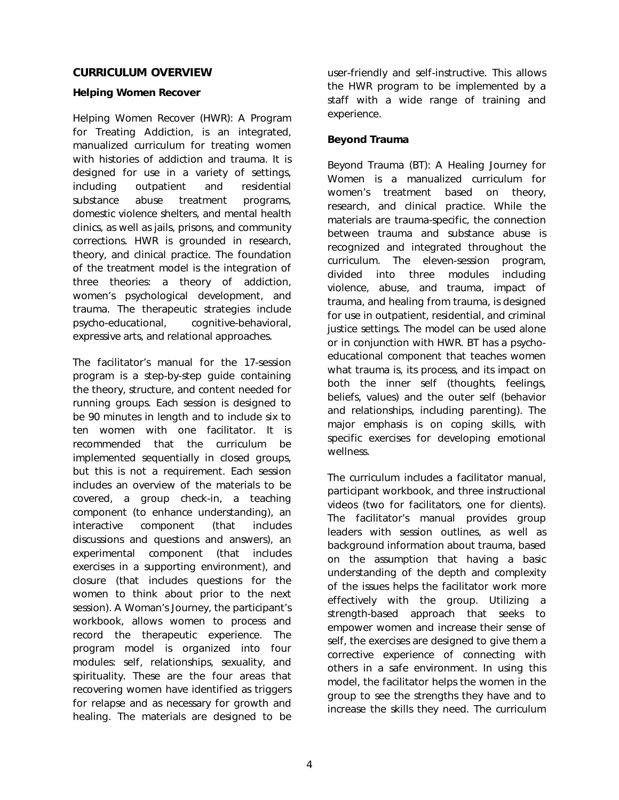## CURRICULUM OVERVIEW

## *Helping Women Recover*

*Helping Women Recover (HWR): A Program for Treating Addiction*, is an integrated, manualized curriculum for treating women with histories of addiction and trauma. It is designed for use in a variety of settings, including outpatient and residential substance abuse treatment programs, domestic violence shelters, and mental health clinics, as well as jails, prisons, and community corrections. *HWR* is grounded in research, theory, and clinical practice. The foundation of the treatment model is the integration of three theories: a theory of addiction, women's psychological development, and trauma. The therapeutic strategies include psycho-educational, cognitive-behavioral, expressive arts, and relational approaches.

The facilitator's manual for the 17-session program is a step-by-step guide containing the theory, structure, and content needed for running groups. Each session is designed to be 90 minutes in length and to include six to ten women with one facilitator. It is recommended that the curriculum be implemented sequentially in closed groups, but this is not a requirement. Each session includes an overview of the materials to be covered, a group check-in, a teaching component (to enhance understanding), an interactive component (that includes discussions and questions and answers), an experimental component (that includes exercises in a supporting environment), and closure (that includes questions for the women to think about prior to the next session). *A Woman's Journey*, the participant's workbook, allows women to process and record the therapeutic experience. The program model is organized into four modules: self, relationships, sexuality, and spirituality. These are the four areas that recovering women have identified as triggers for relapse and as necessary for growth and healing. The materials are designed to be

user-friendly and self-instructive. This allows the *HWR* program to be implemented by a staff with a wide range of training and experience.

## *Beyond Trauma*

*Beyond Trauma (BT): A Healing Journey for Women* is a manualized curriculum for women's treatment based on theory, research, and clinical practice. While the materials are trauma-specific, the connection between trauma and substance abuse is recognized and integrated throughout the curriculum. The eleven-session program, divided into three modules including violence, abuse, and trauma, impact of trauma, and healing from trauma, is designed for use in outpatient, residential, and criminal justice settings. The model can be used alone or in conjunction with *HWR*. *BT* has a psychoeducational component that teaches women what trauma is, its process, and its impact on both the inner self (thoughts, feelings, beliefs, values) and the outer self (behavior and relationships, including parenting). The major emphasis is on coping skills, with specific exercises for developing emotional wellness.

The curriculum includes a facilitator manual, participant workbook, and three instructional videos (two for facilitators, one for clients). The facilitator's manual provides group leaders with session outlines, as well as background information about trauma, based on the assumption that having a basic understanding of the depth and complexity of the issues helps the facilitator work more effectively with the group. Utilizing a strength-based approach that seeks to empower women and increase their sense of self, the exercises are designed to give them a corrective experience of connecting with others in a safe environment. In using this model, the facilitator helps the women in the group to see the strengths they have and to increase the skills they need. The curriculum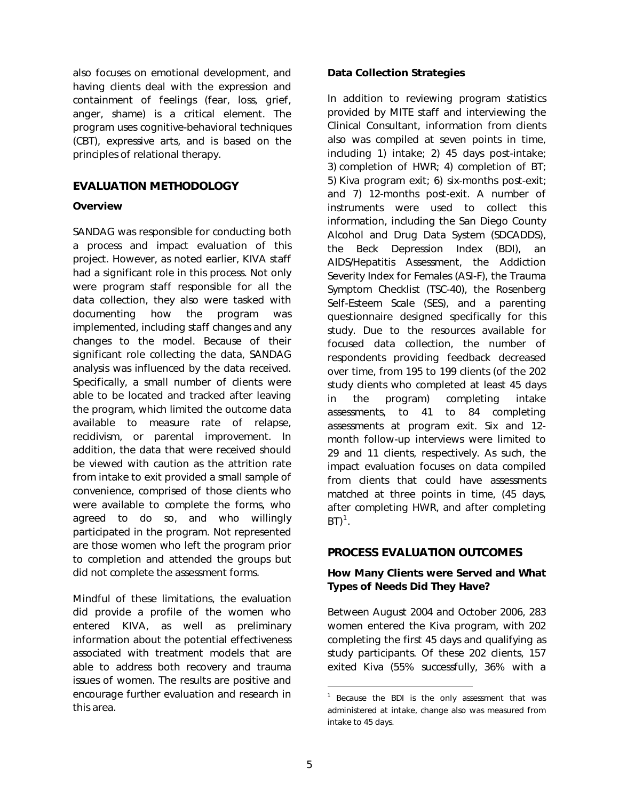also focuses on emotional development, and having clients deal with the expression and containment of feelings (fear, loss, grief, anger, shame) is a critical element. The program uses cognitive-behavioral techniques (CBT), expressive arts, and is based on the principles of relational therapy.

## EVALUATION METHODOLOGY

## **Overview**

SANDAG was responsible for conducting both a process and impact evaluation of this project. However, as noted earlier, KIVA staff had a significant role in this process. Not only were program staff responsible for all the data collection, they also were tasked with documenting how the program was implemented, including staff changes and any changes to the model. Because of their significant role collecting the data, SANDAG analysis was influenced by the data received. Specifically, a small number of clients were able to be located and tracked after leaving the program, which limited the outcome data available to measure rate of relapse, recidivism, or parental improvement. In addition, the data that were received should be viewed with caution as the attrition rate from intake to exit provided a small sample of convenience, comprised of those clients who were available to complete the forms, who agreed to do so, and who willingly participated in the program. Not represented are those women who left the program prior to completion and attended the groups but did not complete the assessment forms.

<span id="page-4-0"></span>Mindful of these limitations, the evaluation did provide a profile of the women who entered KIVA, as well as preliminary information about the potential effectiveness associated with treatment models that are able to address both recovery and trauma issues of women. The results are positive and encourage further evaluation and research in this area.

## Data Collection Strategies

In addition to reviewing program statistics provided by MITE staff and interviewing the Clinical Consultant, information from clients also was compiled at seven points in time, including 1) intake; 2) 45 days post-intake; 3) completion of *HWR*; 4) completion of *BT*; 5) Kiva program exit; 6) six-months post-exit; and 7) 12-months post-exit. A number of instruments were used to collect this information, including the San Diego County Alcohol and Drug Data System (SDCADDS), the Beck Depression Index (BDI), an AIDS/Hepatitis Assessment, the Addiction Severity Index for Females (ASI-F), the Trauma Symptom Checklist (TSC-40), the Rosenberg Self-Esteem Scale (SES), and a parenting questionnaire designed specifically for this study. Due to the resources available for focused data collection, the number of respondents providing feedback decreased over time, from 195 to 199 clients (of the 202 study clients who completed at least 45 days in the program) completing intake assessments, to 41 to 84 completing assessments at program exit. Six and 12 month follow-up interviews were limited to 29 and 11 clients, respectively. As such, the impact evaluation focuses on data compiled from clients that could have assessments matched at three points in time, (45 days, after completing *HWR*, and after completing  $B\Gamma)^1$  $B\Gamma)^1$ .

## PROCESS EVALUATION OUTCOMES

## How Many Clients were Served and What Types of Needs Did They Have?

Between August 2004 and October 2006, 283 women entered the Kiva program, with 202 completing the first 45 days and qualifying as study participants. Of these 202 clients, 157 exited Kiva (55% successfully, 36% with a

l

<sup>&</sup>lt;sup>1</sup> Because the BDI is the only assessment that was administered at intake, change also was measured from intake to 45 days.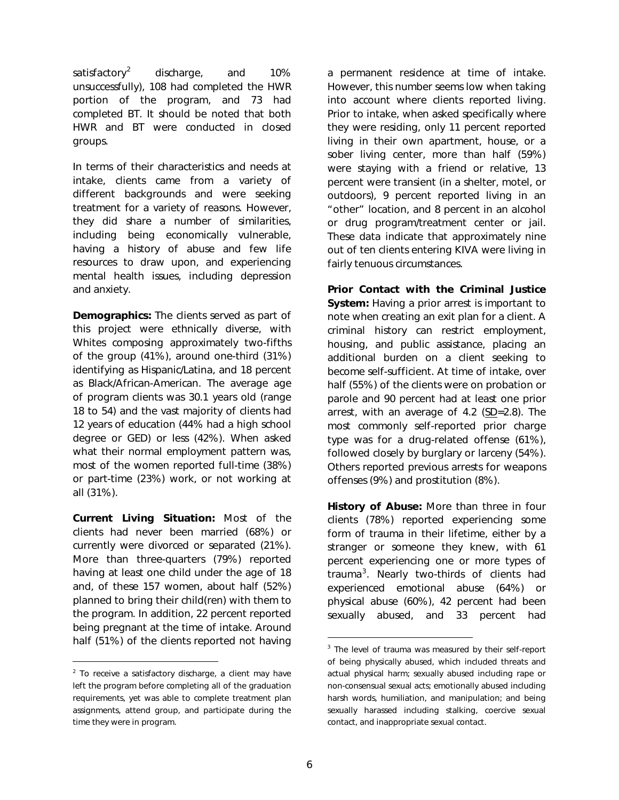satisfactory<sup>[2](#page-5-0)</sup> discharge, and 10% unsuccessfully), 108 had completed the *HWR* portion of the program, and 73 had completed *BT*. It should be noted that both *HWR* and *BT* were conducted in closed groups.

In terms of their characteristics and needs at intake, clients came from a variety of different backgrounds and were seeking treatment for a variety of reasons. However, they did share a number of similarities, including being economically vulnerable, having a history of abuse and few life resources to draw upon, and experiencing mental health issues, including depression and anxiety.

**Demographics:** The clients served as part of this project were ethnically diverse, with Whites composing approximately two-fifths of the group (41%), around one-third (31%) identifying as Hispanic/Latina, and 18 percent as Black/African-American. The average age of program clients was 30.1 years old (range 18 to 54) and the vast majority of clients had 12 years of education (44% had a high school degree or GED) or less (42%). When asked what their normal employment pattern was, most of the women reported full-time (38%) or part-time (23%) work, or not working at all (31%).

Current Living Situation: Most of the clients had never been married (68%) or currently were divorced or separated (21%). More than three-quarters (79%) reported having at least one child under the age of 18 and, of these 157 women, about half (52%) planned to bring their child(ren) with them to the program. In addition, 22 percent reported being pregnant at the time of intake. Around half (51%) of the clients reported not having

<span id="page-5-1"></span>l

a permanent residence at time of intake. However, this number seems low when taking into account where clients reported living. Prior to intake, when asked specifically where they were residing, only 11 percent reported living in their own apartment, house, or a sober living center, more than half (59%) were staying with a friend or relative, 13 percent were transient (in a shelter, motel, or outdoors), 9 percent reported living in an "other" location, and 8 percent in an alcohol or drug program/treatment center or jail. These data indicate that approximately nine out of ten clients entering KIVA were living in fairly tenuous circumstances.

Prior Contact with the Criminal Justice System: Having a prior arrest is important to note when creating an exit plan for a client. A criminal history can restrict employment, housing, and public assistance, placing an additional burden on a client seeking to become self-sufficient. At time of intake, over half (55%) of the clients were on probation or parole and 90 percent had at least one prior arrest, with an average of 4.2 (SD=2.8). The most commonly self-reported prior charge type was for a drug-related offense (61%), followed closely by burglary or larceny (54%). Others reported previous arrests for weapons offenses (9%) and prostitution (8%).

History of Abuse: More than three in four clients (78%) reported experiencing some form of trauma in their lifetime, either by a stranger or someone they knew, with 61 percent experiencing one or more types of trauma<sup>[3](#page-5-1)</sup>. Nearly two-thirds of clients had experienced emotional abuse (64%) or physical abuse (60%), 42 percent had been sexually abused, and 33 percent had

l

<span id="page-5-0"></span> $2$  To receive a satisfactory discharge, a client may have left the program before completing *all* of the graduation requirements, yet was able to complete treatment plan assignments, attend group, and participate during the time they were in program.

 $3$  The level of trauma was measured by their self-report of being physically abused, which included threats and actual physical harm; sexually abused including rape or non-consensual sexual acts; emotionally abused including harsh words, humiliation, and manipulation; and being sexually harassed including stalking, coercive sexual contact, and inappropriate sexual contact.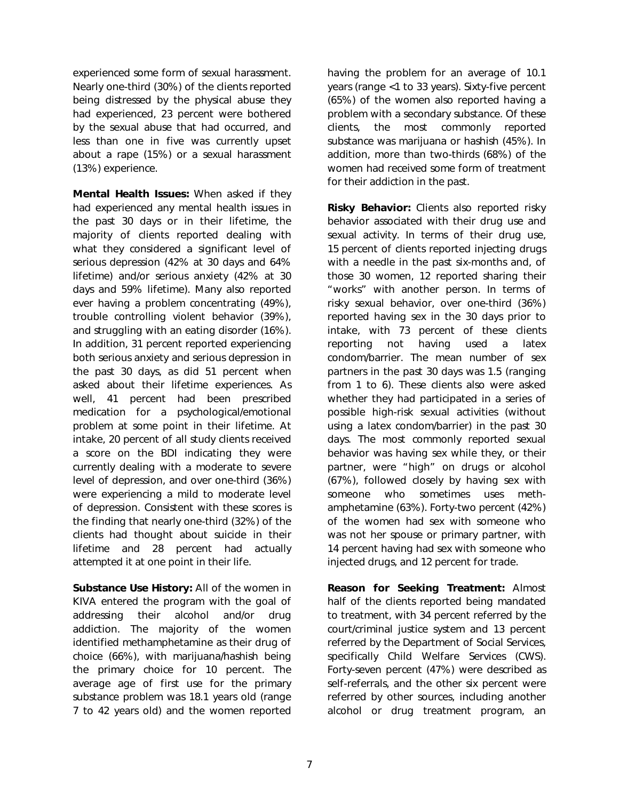experienced some form of sexual harassment. Nearly one-third (30%) of the clients reported being distressed by the physical abuse they had experienced, 23 percent were bothered by the sexual abuse that had occurred, and less than one in five was currently upset about a rape (15%) or a sexual harassment (13%) experience.

Mental Health Issues: When asked if they had experienced any mental health issues in the past 30 days or in their lifetime, the majority of clients reported dealing with what they considered a significant level of serious depression (42% at 30 days and 64% lifetime) and/or serious anxiety (42% at 30 days and 59% lifetime). Many also reported ever having a problem concentrating (49%), trouble controlling violent behavior (39%), and struggling with an eating disorder (16%). In addition, 31 percent reported experiencing *both* serious anxiety and serious depression in the past 30 days, as did 51 percent when asked about their lifetime experiences. As well, 41 percent had been prescribed medication for a psychological/emotional problem at some point in their lifetime. At intake, 20 percent of all study clients received a score on the BDI indicating they were currently dealing with a moderate to severe level of depression, and over one-third (36%) were experiencing a mild to moderate level of depression. Consistent with these scores is the finding that nearly one-third (32%) of the clients had thought about suicide in their lifetime and 28 percent had actually attempted it at one point in their life.

Substance Use History: All of the women in KIVA entered the program with the goal of addressing their alcohol and/or drug addiction. The majority of the women identified methamphetamine as their drug of choice (66%), with marijuana/hashish being the primary choice for 10 percent. The average age of first use for the primary substance problem was 18.1 years old (range 7 to 42 years old) and the women reported

having the problem for an average of 10.1 years (range <1 to 33 years). Sixty-five percent (65%) of the women also reported having a problem with a secondary substance. Of these clients, the most commonly reported substance was marijuana or hashish (45%). In addition, more than two-thirds (68%) of the women had received some form of treatment for their addiction in the past.

Risky Behavior: Clients also reported risky behavior associated with their drug use and sexual activity. In terms of their drug use, 15 percent of clients reported injecting drugs with a needle in the past six-months and, of those 30 women, 12 reported sharing their "works" with another person. In terms of risky sexual behavior, over one-third (36%) reported having sex in the 30 days prior to intake, with 73 percent of these clients reporting not having used a latex condom/barrier. The mean number of sex partners in the past 30 days was 1.5 (ranging from 1 to 6). These clients also were asked whether they had participated in a series of possible high-risk sexual activities (without using a latex condom/barrier) in the past 30 days. The most commonly reported sexual behavior was having sex while they, or their partner, were "high" on drugs or alcohol (67%), followed closely by having sex with someone who sometimes uses methamphetamine (63%). Forty-two percent (42%) of the women had sex with someone who was not her spouse or primary partner, with 14 percent having had sex with someone who injected drugs, and 12 percent for trade.

Reason for Seeking Treatment: Almost half of the clients reported being mandated to treatment, with 34 percent referred by the court/criminal justice system and 13 percent referred by the Department of Social Services, specifically Child Welfare Services (CWS). Forty-seven percent (47%) were described as self-referrals, and the other six percent were referred by other sources, including another alcohol or drug treatment program, an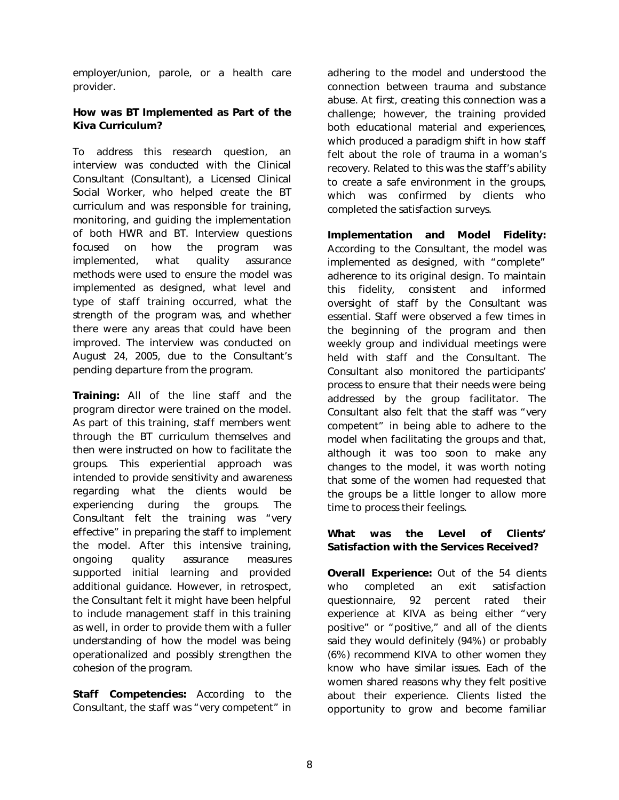employer/union, parole, or a health care provider.

## How was *BT* Implemented as Part of the Kiva Curriculum?

To address this research question, an interview was conducted with the Clinical Consultant (Consultant), a Licensed Clinical Social Worker, who helped create the *BT* curriculum and was responsible for training, monitoring, and guiding the implementation of both *HWR* and *BT*. Interview questions focused on how the program was implemented, what quality assurance methods were used to ensure the model was implemented as designed, what level and type of staff training occurred, what the strength of the program was, and whether there were any areas that could have been improved. The interview was conducted on August 24, 2005, due to the Consultant's pending departure from the program.

Training: All of the line staff and the program director were trained on the model. As part of this training, staff members went through the *BT* curriculum themselves and then were instructed on how to facilitate the groups. This experiential approach was intended to provide sensitivity and awareness regarding what the clients would be experiencing during the groups. The Consultant felt the training was "very effective" in preparing the staff to implement the model. After this intensive training, ongoing quality assurance measures supported initial learning and provided additional guidance. However, in retrospect, the Consultant felt it might have been helpful to include management staff in this training as well, in order to provide them with a fuller understanding of how the model was being operationalized and possibly strengthen the cohesion of the program.

Staff Competencies: According to the Consultant, the staff was "very competent" in adhering to the model and understood the connection between trauma and substance abuse. At first, creating this connection was a challenge; however, the training provided both educational material and experiences, which produced a paradigm shift in how staff felt about the role of trauma in a woman's recovery. Related to this was the staff's ability to create a safe environment in the groups, which was confirmed by clients who completed the satisfaction surveys.

Implementation and Model Fidelity: According to the Consultant, the model was implemented as designed, with "complete" adherence to its original design. To maintain this fidelity, consistent and informed oversight of staff by the Consultant was essential. Staff were observed a few times in the beginning of the program and then weekly group and individual meetings were held with staff and the Consultant. The Consultant also monitored the participants' process to ensure that their needs were being addressed by the group facilitator. The Consultant also felt that the staff was "very competent" in being able to adhere to the model when facilitating the groups and that, although it was too soon to make any changes to the model, it was worth noting that some of the women had requested that the groups be a little longer to allow more time to process their feelings.

## What was the Level of Clients' Satisfaction with the Services Received?

**Overall Experience:** Out of the 54 clients who completed an exit satisfaction questionnaire, 92 percent rated their experience at KIVA as being either "very positive" or "positive," and all of the clients said they would definitely (94%) or probably (6%) recommend KIVA to other women they know who have similar issues. Each of the women shared reasons why they felt positive about their experience. Clients listed the opportunity to grow and become familiar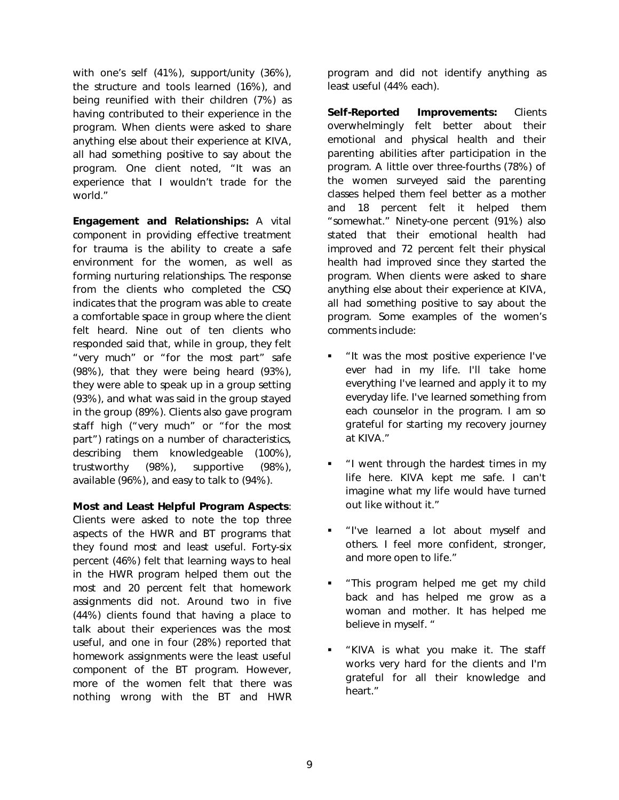with one's self (41%), support/unity (36%), the structure and tools learned (16%), and being reunified with their children (7%) as having contributed to their experience in the program. When clients were asked to share anything else about their experience at KIVA, all had something positive to say about the program. One client noted, "It was an experience that I wouldn't trade for the world."

Engagement and Relationships: A vital component in providing effective treatment for trauma is the ability to create a safe environment for the women, as well as forming nurturing relationships. The response from the clients who completed the CSQ indicates that the program was able to create a comfortable space in group where the client felt heard. Nine out of ten clients who responded said that, while in group, they felt "very much" or "for the most part" safe (98%), that they were being heard (93%), they were able to speak up in a group setting (93%), and what was said in the group stayed in the group (89%). Clients also gave program staff high ("very much" or "for the most part") ratings on a number of characteristics, describing them knowledgeable (100%), trustworthy (98%), supportive (98%), available (96%), and easy to talk to (94%).

## Most and Least Helpful Program Aspects:

Clients were asked to note the top three aspects of the *HWR* and *BT* programs that they found most and least useful. Forty-six percent (46%) felt that learning ways to heal in the *HWR* program helped them out the *most* and 20 percent felt that homework assignments did not. Around two in five (44%) clients found that having a place to talk about their experiences was the *most* useful, and one in four (28%) reported that homework assignments were the *least* useful component of the *BT* program. However, more of the women felt that there was nothing wrong with the *BT* and *HWR* program and did not identify anything as *least* useful (44% each).

Self-Reported Improvements: Clients overwhelmingly felt better about their emotional and physical health and their parenting abilities after participation in the program. A little over three-fourths (78%) of the women surveyed said the parenting classes helped them feel better as a mother and 18 percent felt it helped them "somewhat." Ninety-one percent (91%) also stated that their emotional health had improved and 72 percent felt their physical health had improved since they started the program. When clients were asked to share anything else about their experience at KIVA, all had something positive to say about the program. Some examples of the women's comments include:

- "It was the most positive experience I've ever had in my life. I'll take home everything I've learned and apply it to my everyday life. I've learned something from each counselor in the program. I am so grateful for starting my recovery journey at KIVA."
- "I went through the hardest times in my life here. KIVA kept me safe. I can't imagine what my life would have turned out like without it."
- **.** "I've learned a lot about myself and others. I feel more confident, stronger, and more open to life."
- **This program helped me get my child** back and has helped me grow as a woman and mother. It has helped me believe in myself. "
- "KIVA is what you make it. The staff works very hard for the clients and I'm grateful for all their knowledge and heart."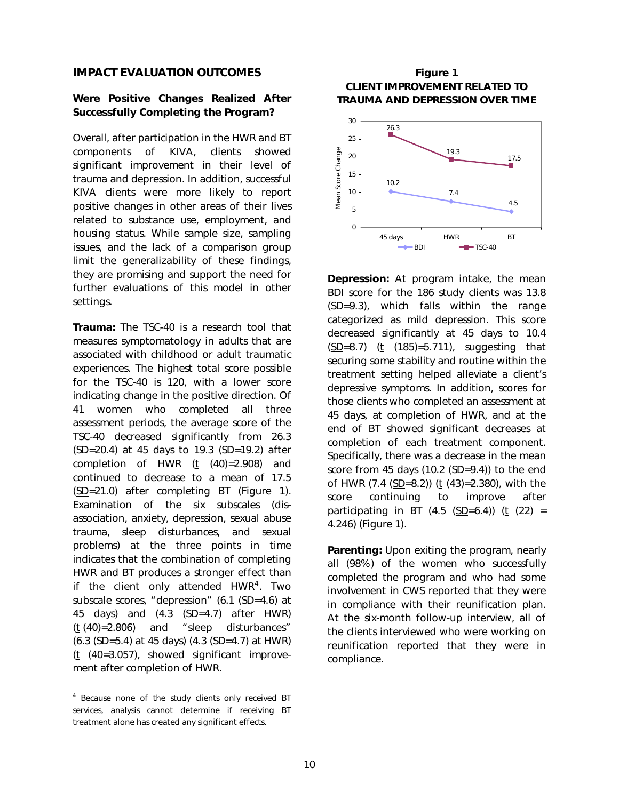## IMPACT EVALUATION OUTCOMES

## Were Positive Changes Realized After Successfully Completing the Program?

Overall, after participation in the *HWR* and *BT* components of KIVA, clients showed significant improvement in their level of trauma and depression. In addition, successful KIVA clients were more likely to report positive changes in other areas of their lives related to substance use, employment, and housing status. While sample size, sampling issues, and the lack of a comparison group limit the generalizability of these findings, they are promising and support the need for further evaluations of this model in other settings.

Trauma: The TSC-40 is a research tool that measures symptomatology in adults that are associated with childhood or adult traumatic experiences. The highest total score possible for the TSC-40 is 120, with a lower score indicating change in the positive direction. Of 41 women who completed all three assessment periods, the average score of the TSC-40 decreased significantly from 26.3 (SD=20.4) at 45 days to 19.3 (SD=19.2) after completion of *HWR* (t (40)=2.908) and continued to decrease to a mean of 17.5 (SD=21.0) after completing *BT* (Figure 1). Examination of the six subscales (disassociation, anxiety, depression, sexual abuse trauma, sleep disturbances, and sexual problems) at the three points in time indicates that the combination of completing *HWR* and *BT* produces a stronger effect than if the client only attended *HWR*<sup>[4](#page-9-0)</sup>. Two subscale scores, "depression" (6.1 (SD=4.6) at 45 days) and (4.3 (SD=4.7) after *HWR*) (t (40)=2.806) and "sleep disturbances" (6.3 (SD=5.4) at 45 days) (4.3 (SD=4.7) at *HWR*)  $(t \text{ } (40=3.057)$ , showed significant improvement after completion of *HWR*.

-

## Figure 1 CLIENT IMPROVEMENT RELATED TO TRAUMA AND DEPRESSION OVER TIME



Depression: At program intake, the mean BDI score for the 186 study clients was 13.8 (SD=9.3), which falls within the range categorized as mild depression. This score decreased significantly at 45 days to 10.4  $(SD=8.7)$  (t (185)=5.711), suggesting that securing some stability and routine within the treatment setting helped alleviate a client's depressive symptoms. In addition, scores for those clients who completed an assessment at 45 days, at completion of *HWR*, and at the end of *BT* showed significant decreases at completion of each treatment component. Specifically, there was a decrease in the mean score from 45 days (10.2 (SD=9.4)) to the end of *HWR* (7.4 (SD=8.2)) (t (43)=2.380), with the score continuing to improve after participating in *BT* (4.5 ( $SD=6.4$ )) (t (22) = 4.246) (Figure 1).

Parenting: Upon exiting the program, nearly all (98%) of the women who successfully completed the program and who had some involvement in CWS reported that they were in compliance with their reunification plan. At the six-month follow-up interview, all of the clients interviewed who were working on reunification reported that they were in compliance.

<span id="page-9-0"></span><sup>4</sup> Because none of the study clients only received *BT* services, analysis cannot determine if receiving *BT* treatment alone has created any significant effects.